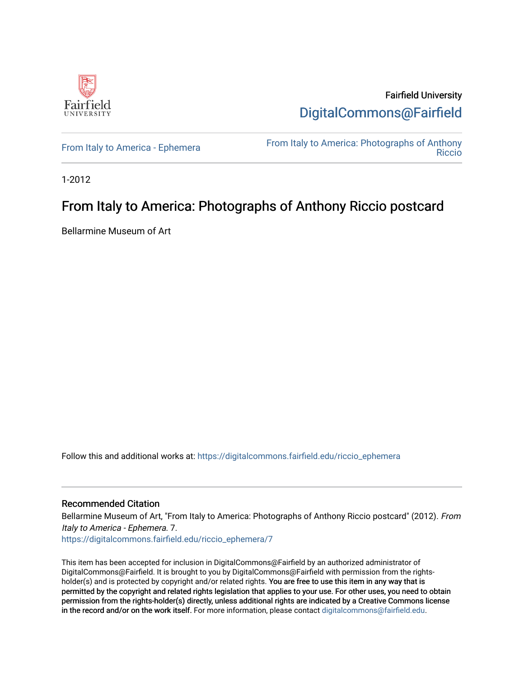

Fairfield University [DigitalCommons@Fairfield](https://digitalcommons.fairfield.edu/) 

[From Italy to America - Ephemera](https://digitalcommons.fairfield.edu/riccio_ephemera)<br>Biocio [Riccio](https://digitalcommons.fairfield.edu/riccio) 

1-2012

## From Italy to America: Photographs of Anthony Riccio postcard

Bellarmine Museum of Art

Follow this and additional works at: [https://digitalcommons.fairfield.edu/riccio\\_ephemera](https://digitalcommons.fairfield.edu/riccio_ephemera?utm_source=digitalcommons.fairfield.edu%2Friccio_ephemera%2F7&utm_medium=PDF&utm_campaign=PDFCoverPages)

## Recommended Citation

Bellarmine Museum of Art, "From Italy to America: Photographs of Anthony Riccio postcard" (2012). From Italy to America - Ephemera. 7.

[https://digitalcommons.fairfield.edu/riccio\\_ephemera/7](https://digitalcommons.fairfield.edu/riccio_ephemera/7?utm_source=digitalcommons.fairfield.edu%2Friccio_ephemera%2F7&utm_medium=PDF&utm_campaign=PDFCoverPages) 

This item has been accepted for inclusion in DigitalCommons@Fairfield by an authorized administrator of DigitalCommons@Fairfield. It is brought to you by DigitalCommons@Fairfield with permission from the rightsholder(s) and is protected by copyright and/or related rights. You are free to use this item in any way that is permitted by the copyright and related rights legislation that applies to your use. For other uses, you need to obtain permission from the rights-holder(s) directly, unless additional rights are indicated by a Creative Commons license in the record and/or on the work itself. For more information, please contact [digitalcommons@fairfield.edu.](mailto:digitalcommons@fairfield.edu)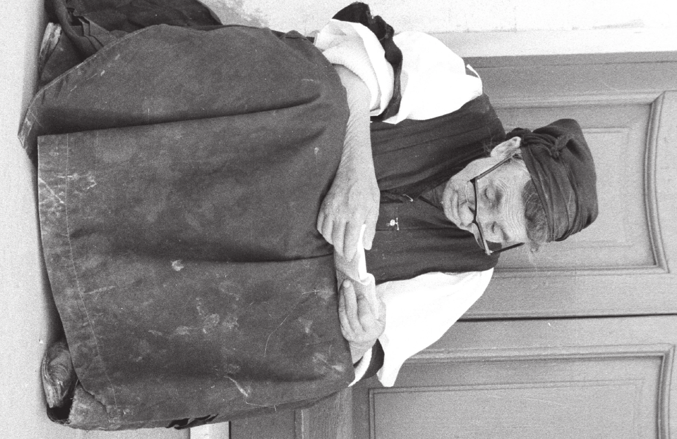